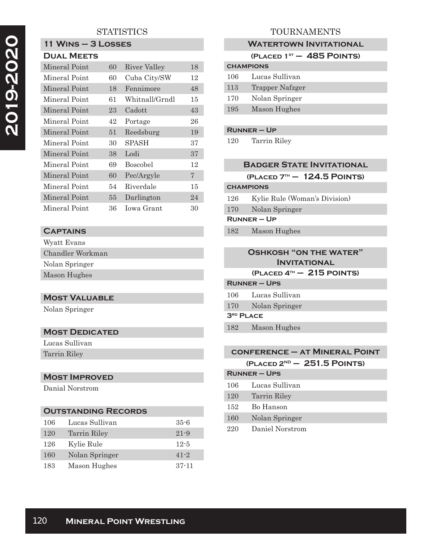# 2019-2020  **2019-2020**

# **STATISTICS**

# **11 Wins – 3 Losses**

| <b>DUAL MEETS</b> |
|-------------------|
|                   |

| Mineral Point | 60 | River Valley    | 18 |
|---------------|----|-----------------|----|
| Mineral Point | 60 | Cuba City/SW    | 12 |
| Mineral Point | 18 | Fennimore       | 48 |
| Mineral Point | 61 | Whitnall/Grndl  | 15 |
| Mineral Point | 23 | Cadott          | 43 |
| Mineral Point | 42 | Portage         | 26 |
| Mineral Point | 51 | Reedsburg       | 19 |
| Mineral Point | 30 | SPASH           | 37 |
| Mineral Point | 38 | <i>ibo</i> .I   | 37 |
| Mineral Point | 69 | <b>Boscobel</b> | 12 |
| Mineral Point | 60 | Pec/Argyle      | 7  |
| Mineral Point | 54 | Riverdale       | 15 |
| Mineral Point | 55 | Darlington      | 24 |
| Mineral Point | 36 | Iowa Grant      | 30 |

# **Captains**

| Wyatt Evans      |
|------------------|
| Chandler Workman |
| Nolan Springer   |
| Mason Hughes     |

#### **Most Valuable**

Nolan Springer

#### **Most Dedicated**

Lucas Sullivan Tarrin Riley

#### **Most Improved**

Danial Norstrom

#### **Outstanding Records**

| 106 | Lucas Sullivan      | $35 - 6$  |
|-----|---------------------|-----------|
| 120 | <b>Tarrin Riley</b> | $21 - 9$  |
| 126 | Kylie Rule          | $12-5$    |
| 160 | Nolan Springer      | $41 - 2$  |
| 183 | Mason Hughes        | $37 - 11$ |

# TOURNAMENTS

#### **WATERTOWN INVITATIONAL**

|                  | (PLACED $1ST - 485$ POINTS) |  |
|------------------|-----------------------------|--|
| <b>CHAMPIONS</b> |                             |  |
| $106\,$          | Lucas Sullivan              |  |
| 113              | Trapper Nafzger             |  |
| 170              | Nolan Springer              |  |
| 195              | Mason Hughes                |  |

#### **Runner – Up**

120 Tarrin Riley

| <b>BADGER STATE INVITATIONAL</b> |  |  |
|----------------------------------|--|--|
| $(PLACED 7TH - 124.5 POINTS)$    |  |  |
| <b>CHAMPIONS</b>                 |  |  |
| Kylie Rule (Woman's Division)    |  |  |
| Nolan Springer                   |  |  |
| $RUNNER - UP$                    |  |  |
| Mason Hughes                     |  |  |
|                                  |  |  |
|                                  |  |  |

### **Oshkosh "on the water" Invitational**

**(Placed 4th – 215 points)**

| RUNNER – UPS                       |                      |  |
|------------------------------------|----------------------|--|
|                                    | 106 — Lucas Sullivan |  |
|                                    | 170 Nolan Springer   |  |
| $\mathsf{3}^\text{\tiny RD}$ PLACE |                      |  |

182 Mason Hughes

#### **conference – at Mineral Point (Placed 2ND – 251.5 Points)**

|     | $L$ LAVLD $\epsilon$ | EVIIV I VIIII |
|-----|----------------------|---------------|
|     | <b>RUNNER – UPS</b>  |               |
| 106 | - Lucas Sullivan     |               |

| ∸◡  | <b>1990au Nuit 1991</b> |
|-----|-------------------------|
| 120 | Tarrin Riley            |
| 152 | Bo Hanson               |
| 160 | Nolan Springer          |
| 220 | Daniel Norstrom         |